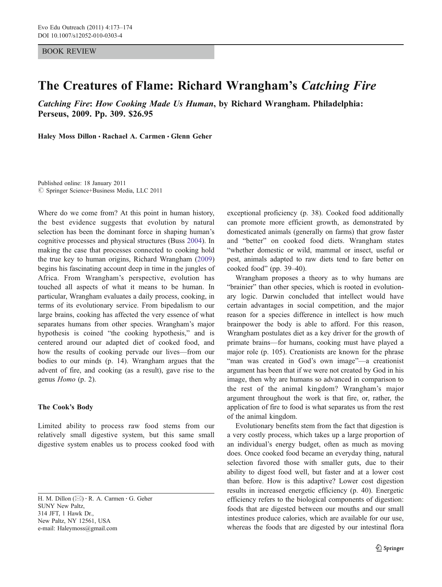BOOK REVIEW

## The Creatures of Flame: Richard Wrangham's Catching Fire

Catching Fire: How Cooking Made Us Human, by Richard Wrangham. Philadelphia: Perseus, 2009. Pp. 309. \$26.95

Haley Moss Dillon · Rachael A. Carmen · Glenn Geher

Published online: 18 January 2011  $\oslash$  Springer Science+Business Media, LLC 2011

Where do we come from? At this point in human history, the best evidence suggests that evolution by natural selection has been the dominant force in shaping human's cognitive processes and physical structures (Buss [2004](#page-1-0)). In making the case that processes connected to cooking hold the true key to human origins, Richard Wrangham ([2009\)](#page-1-0) begins his fascinating account deep in time in the jungles of Africa. From Wrangham's perspective, evolution has touched all aspects of what it means to be human. In particular, Wrangham evaluates a daily process, cooking, in terms of its evolutionary service. From bipedalism to our large brains, cooking has affected the very essence of what separates humans from other species. Wrangham's major hypothesis is coined "the cooking hypothesis," and is centered around our adapted diet of cooked food, and how the results of cooking pervade our lives—from our bodies to our minds (p. 14). Wrangham argues that the advent of fire, and cooking (as a result), gave rise to the genus Homo (p. 2).

## The Cook's Body

Limited ability to process raw food stems from our relatively small digestive system, but this same small digestive system enables us to process cooked food with

H. M. Dillon  $(\boxtimes) \cdot$  R. A. Carmen  $\cdot$  G. Geher SUNY New Paltz, 314 JFT, 1 Hawk Dr., New Paltz, NY 12561, USA e-mail: Haleymoss@gmail.com

exceptional proficiency (p. 38). Cooked food additionally can promote more efficient growth, as demonstrated by domesticated animals (generally on farms) that grow faster and "better" on cooked food diets. Wrangham states "whether domestic or wild, mammal or insect, useful or pest, animals adapted to raw diets tend to fare better on cooked food" (pp. 39–40).

Wrangham proposes a theory as to why humans are "brainier" than other species, which is rooted in evolutionary logic. Darwin concluded that intellect would have certain advantages in social competition, and the major reason for a species difference in intellect is how much brainpower the body is able to afford. For this reason, Wrangham postulates diet as a key driver for the growth of primate brains—for humans, cooking must have played a major role (p. 105). Creationists are known for the phrase "man was created in God's own image"—a creationist argument has been that if we were not created by God in his image, then why are humans so advanced in comparison to the rest of the animal kingdom? Wrangham's major argument throughout the work is that fire, or, rather, the application of fire to food is what separates us from the rest of the animal kingdom.

Evolutionary benefits stem from the fact that digestion is a very costly process, which takes up a large proportion of an individual's energy budget, often as much as moving does. Once cooked food became an everyday thing, natural selection favored those with smaller guts, due to their ability to digest food well, but faster and at a lower cost than before. How is this adaptive? Lower cost digestion results in increased energetic efficiency (p. 40). Energetic efficiency refers to the biological components of digestion: foods that are digested between our mouths and our small intestines produce calories, which are available for our use, whereas the foods that are digested by our intestinal flora